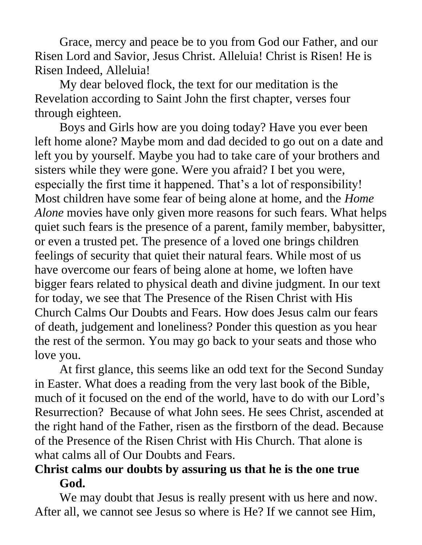Grace, mercy and peace be to you from God our Father, and our Risen Lord and Savior, Jesus Christ. Alleluia! Christ is Risen! He is Risen Indeed, Alleluia!

My dear beloved flock, the text for our meditation is the Revelation according to Saint John the first chapter, verses four through eighteen.

Boys and Girls how are you doing today? Have you ever been left home alone? Maybe mom and dad decided to go out on a date and left you by yourself. Maybe you had to take care of your brothers and sisters while they were gone. Were you afraid? I bet you were, especially the first time it happened. That's a lot of responsibility! Most children have some fear of being alone at home, and the *Home Alone* movies have only given more reasons for such fears. What helps quiet such fears is the presence of a parent, family member, babysitter, or even a trusted pet. The presence of a loved one brings children feelings of security that quiet their natural fears. While most of us have overcome our fears of being alone at home, we loften have bigger fears related to physical death and divine judgment. In our text for today, we see that The Presence of the Risen Christ with His Church Calms Our Doubts and Fears. How does Jesus calm our fears of death, judgement and loneliness? Ponder this question as you hear the rest of the sermon. You may go back to your seats and those who love you.

At first glance, this seems like an odd text for the Second Sunday in Easter. What does a reading from the very last book of the Bible, much of it focused on the end of the world, have to do with our Lord's Resurrection? Because of what John sees. He sees Christ, ascended at the right hand of the Father, risen as the firstborn of the dead. Because of the Presence of the Risen Christ with His Church. That alone is what calms all of Our Doubts and Fears.

## **Christ calms our doubts by assuring us that he is the one true God.**

We may doubt that Jesus is really present with us here and now. After all, we cannot see Jesus so where is He? If we cannot see Him,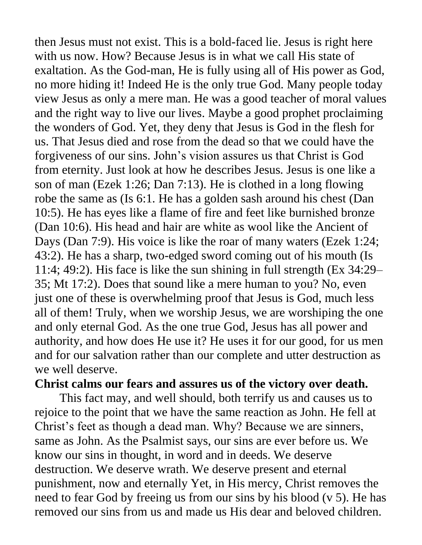then Jesus must not exist. This is a bold-faced lie. Jesus is right here with us now. How? Because Jesus is in what we call His state of exaltation. As the God-man, He is fully using all of His power as God, no more hiding it! Indeed He is the only true God. Many people today view Jesus as only a mere man. He was a good teacher of moral values and the right way to live our lives. Maybe a good prophet proclaiming the wonders of God. Yet, they deny that Jesus is God in the flesh for us. That Jesus died and rose from the dead so that we could have the forgiveness of our sins. John's vision assures us that Christ is God from eternity. Just look at how he describes Jesus. Jesus is one like a son of man (Ezek 1:26; Dan 7:13). He is clothed in a long flowing robe the same as (Is 6:1. He has a golden sash around his chest (Dan 10:5). He has eyes like a flame of fire and feet like burnished bronze (Dan 10:6). His head and hair are white as wool like the Ancient of Days (Dan 7:9). His voice is like the roar of many waters (Ezek 1:24; 43:2). He has a sharp, two-edged sword coming out of his mouth (Is 11:4; 49:2). His face is like the sun shining in full strength (Ex 34:29– 35; Mt 17:2). Does that sound like a mere human to you? No, even just one of these is overwhelming proof that Jesus is God, much less all of them! Truly, when we worship Jesus, we are worshiping the one and only eternal God. As the one true God, Jesus has all power and authority, and how does He use it? He uses it for our good, for us men and for our salvation rather than our complete and utter destruction as we well deserve.

## **Christ calms our fears and assures us of the victory over death.**

This fact may, and well should, both terrify us and causes us to rejoice to the point that we have the same reaction as John. He fell at Christ's feet as though a dead man. Why? Because we are sinners, same as John. As the Psalmist says, our sins are ever before us. We know our sins in thought, in word and in deeds. We deserve destruction. We deserve wrath. We deserve present and eternal punishment, now and eternally Yet, in His mercy, Christ removes the need to fear God by freeing us from our sins by his blood (v 5). He has removed our sins from us and made us His dear and beloved children.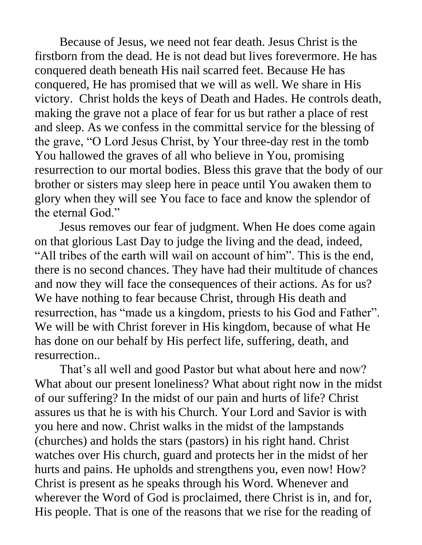Because of Jesus, we need not fear death. Jesus Christ is the firstborn from the dead. He is not dead but lives forevermore. He has conquered death beneath His nail scarred feet. Because He has conquered, He has promised that we will as well. We share in His victory. Christ holds the keys of Death and Hades. He controls death, making the grave not a place of fear for us but rather a place of rest and sleep. As we confess in the committal service for the blessing of the grave, "O Lord Jesus Christ, by Your three-day rest in the tomb You hallowed the graves of all who believe in You, promising resurrection to our mortal bodies. Bless this grave that the body of our brother or sisters may sleep here in peace until You awaken them to glory when they will see You face to face and know the splendor of the eternal God."

Jesus removes our fear of judgment. When He does come again on that glorious Last Day to judge the living and the dead, indeed, "All tribes of the earth will wail on account of him". This is the end, there is no second chances. They have had their multitude of chances and now they will face the consequences of their actions. As for us? We have nothing to fear because Christ, through His death and resurrection, has "made us a kingdom, priests to his God and Father". We will be with Christ forever in His kingdom, because of what He has done on our behalf by His perfect life, suffering, death, and resurrection..

That's all well and good Pastor but what about here and now? What about our present loneliness? What about right now in the midst of our suffering? In the midst of our pain and hurts of life? Christ assures us that he is with his Church. Your Lord and Savior is with you here and now. Christ walks in the midst of the lampstands (churches) and holds the stars (pastors) in his right hand. Christ watches over His church, guard and protects her in the midst of her hurts and pains. He upholds and strengthens you, even now! How? Christ is present as he speaks through his Word. Whenever and wherever the Word of God is proclaimed, there Christ is in, and for, His people. That is one of the reasons that we rise for the reading of